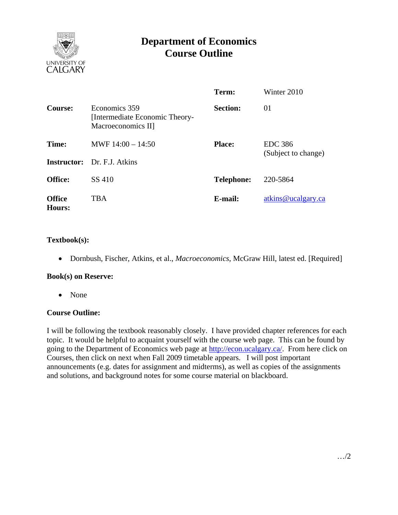

# **Department of Economics Course Outline**

|                         |                                                                       | Term:             | Winter 2010                           |
|-------------------------|-----------------------------------------------------------------------|-------------------|---------------------------------------|
| Course:                 | Economics 359<br>[Intermediate Economic Theory-<br>Macroeconomics II] | <b>Section:</b>   | 01                                    |
| Time:                   | MWF $14:00 - 14:50$<br><b>Instructor:</b> Dr. F.J. Atkins             | <b>Place:</b>     | <b>EDC</b> 386<br>(Subject to change) |
| <b>Office:</b>          | SS 410                                                                | <b>Telephone:</b> | 220-5864                              |
| <b>Office</b><br>Hours: | <b>TBA</b>                                                            | E-mail:           | atkins@ucalgary.ca                    |

## **Textbook(s):**

• Dornbush, Fischer, Atkins, et al., *Macroeconomics*, McGraw Hill, latest ed. [Required]

#### **Book(s) on Reserve:**

• None

## **Course Outline:**

I will be following the textbook reasonably closely. I have provided chapter references for each topic. It would be helpful to acquaint yourself with the course web page. This can be found by going to the Department of Economics web page at http://econ.ucalgary.ca/. From here click on Courses, then click on next when Fall 2009 timetable appears. I will post important announcements (e.g. dates for assignment and midterms), as well as copies of the assignments and solutions, and background notes for some course material on blackboard.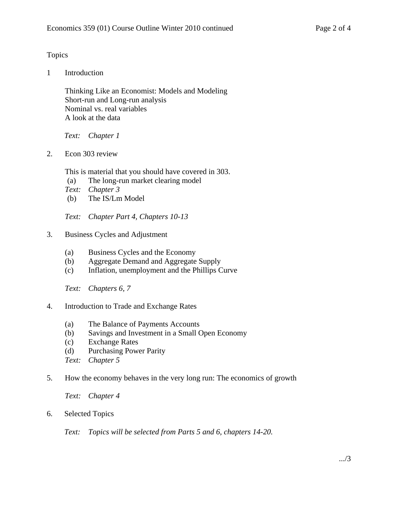## Topics

1 Introduction

 Thinking Like an Economist: Models and Modeling Short-run and Long-run analysis Nominal vs. real variables A look at the data

*Text: Chapter 1* 

2. Econ 303 review

This is material that you should have covered in 303.

- (a) The long-run market clearing model
- *Text: Chapter 3*
- (b) The IS/Lm Model

*Text: Chapter Part 4, Chapters 10-13* 

- 3. Business Cycles and Adjustment
	- (a) Business Cycles and the Economy
	- (b) Aggregate Demand and Aggregate Supply
	- (c) Inflation, unemployment and the Phillips Curve

*Text: Chapters 6, 7* 

- 4. Introduction to Trade and Exchange Rates
	- (a) The Balance of Payments Accounts
	- (b) Savings and Investment in a Small Open Economy
	- (c) Exchange Rates
	- (d) Purchasing Power Parity
	- *Text: Chapter 5*
- 5. How the economy behaves in the very long run: The economics of growth

*Text: Chapter 4* 

6. Selected Topics

*Text: Topics will be selected from Parts 5 and 6, chapters 14-20.*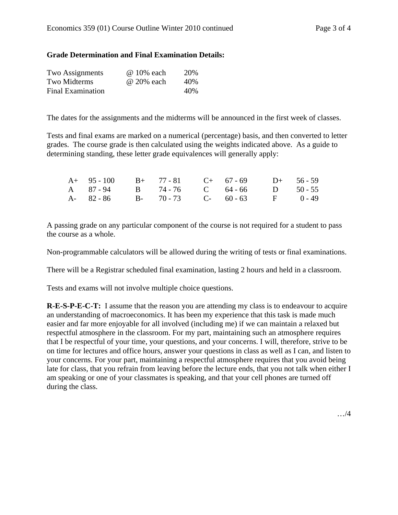### **Grade Determination and Final Examination Details:**

| Two Assignments          | @ 10% each | 20\% |
|--------------------------|------------|------|
| Two Midterms             | @ 20% each | 40%  |
| <b>Final Examination</b> |            | 40\% |

The dates for the assignments and the midterms will be announced in the first week of classes.

Tests and final exams are marked on a numerical (percentage) basis, and then converted to letter grades. The course grade is then calculated using the weights indicated above. As a guide to determining standing, these letter grade equivalences will generally apply:

| $A+ 95-100$ $B+ 77-81$ $C+ 67-69$ $D+ 56-59$ |  |  |  |
|----------------------------------------------|--|--|--|
| A 87-94 B 74-76 C 64-66 D 50-55              |  |  |  |
| A- 82-86 B- 70-73 C- 60-63 F 0-49            |  |  |  |

A passing grade on any particular component of the course is not required for a student to pass the course as a whole.

Non-programmable calculators will be allowed during the writing of tests or final examinations.

There will be a Registrar scheduled final examination, lasting 2 hours and held in a classroom.

Tests and exams will not involve multiple choice questions.

**R-E-S-P-E-C-T:** I assume that the reason you are attending my class is to endeavour to acquire an understanding of macroeconomics. It has been my experience that this task is made much easier and far more enjoyable for all involved (including me) if we can maintain a relaxed but respectful atmosphere in the classroom. For my part, maintaining such an atmosphere requires that I be respectful of your time, your questions, and your concerns. I will, therefore, strive to be on time for lectures and office hours, answer your questions in class as well as I can, and listen to your concerns. For your part, maintaining a respectful atmosphere requires that you avoid being late for class, that you refrain from leaving before the lecture ends, that you not talk when either I am speaking or one of your classmates is speaking, and that your cell phones are turned off during the class.